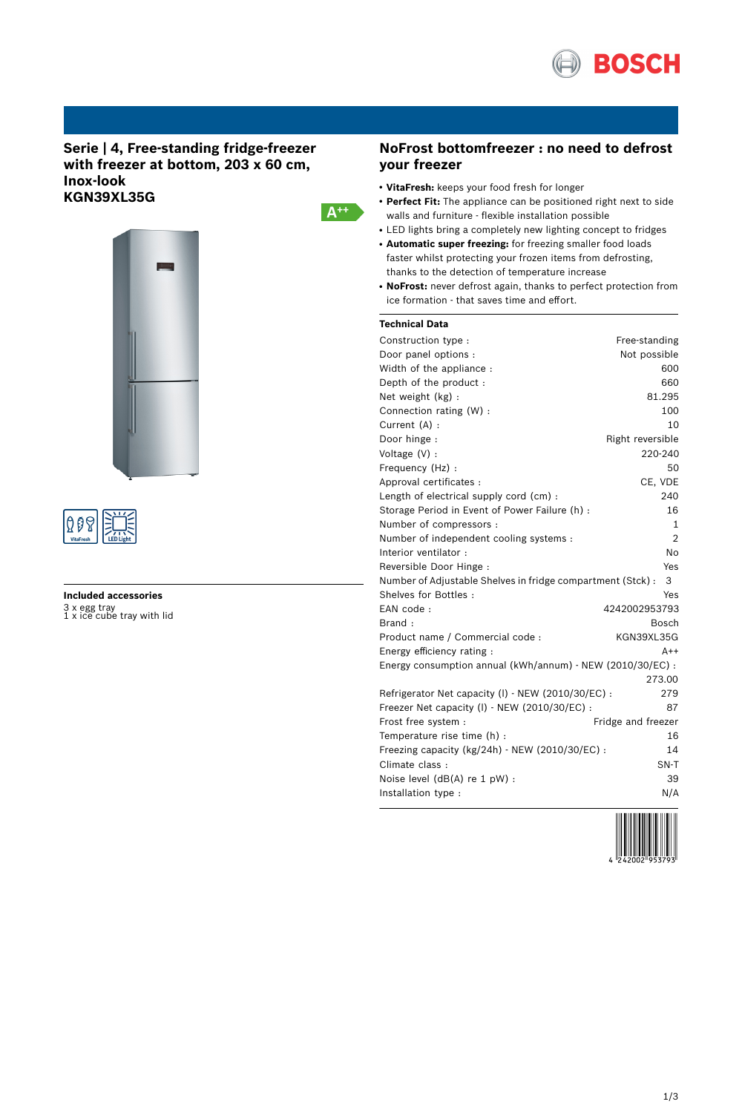

# **Serie | 4, Free-standing fridge-freezer with freezer at bottom, 203 x 60 cm, Inox-look KGN39XL35G**





# **Included accessories** 3 x egg tray 1 x ice cube tray with lid

# **NoFrost bottomfreezer : no need to defrost your freezer**

- **VitaFresh:** keeps your food fresh for longer
- **Perfect Fit:** The appliance can be positioned right next to side walls and furniture - flexible installation possible
- LED lights bring a completely new lighting concept to fridges
- **Automatic super freezing:** for freezing smaller food loads faster whilst protecting your frozen items from defrosting, thanks to the detection of temperature increase
- NoFrost: never defrost again, thanks to perfect protection from ice formation - that saves time and effort.

## **Technical Data**

 $A^{++}$ 

| Construction type:                                          | Free-standing      |
|-------------------------------------------------------------|--------------------|
| Door panel options :                                        | Not possible       |
| Width of the appliance :                                    | 600                |
| Depth of the product:                                       | 660                |
| Net weight (kg):                                            | 81.295             |
| Connection rating (W) :                                     | 100                |
| Current (A) :                                               | 10                 |
| Door hinge:                                                 | Right reversible   |
| Voltage (V) :                                               | 220-240            |
| Frequency (Hz) :                                            | 50                 |
| Approval certificates :                                     | CE, VDE            |
| Length of electrical supply cord (cm):                      | 240                |
| Storage Period in Event of Power Failure (h) :              | 16                 |
| Number of compressors :                                     | 1                  |
| Number of independent cooling systems :                     | $\overline{2}$     |
| Interior ventilator:                                        | <b>No</b>          |
| Reversible Door Hinge:                                      | Yes                |
| Number of Adjustable Shelves in fridge compartment (Stck) : | 3                  |
| Shelves for Bottles:                                        | Yes                |
| EAN code:                                                   | 4242002953793      |
| Brand:                                                      | Bosch              |
| Product name / Commercial code :                            | KGN39XL35G         |
| Energy efficiency rating:                                   | A++                |
| Energy consumption annual (kWh/annum) - NEW (2010/30/EC) :  |                    |
|                                                             | 273.00             |
| Refrigerator Net capacity (I) - NEW (2010/30/EC) :          | 279                |
| Freezer Net capacity (I) - NEW (2010/30/EC) :               | 87                 |
| Frost free system :                                         | Fridge and freezer |
| Temperature rise time (h) :                                 | 16                 |
| Freezing capacity (kg/24h) - NEW (2010/30/EC) :             | 14                 |
| Climate class:                                              | SN-T               |
| Noise level (dB(A) re 1 pW) :                               | 39                 |
| Installation type :                                         | N/A                |

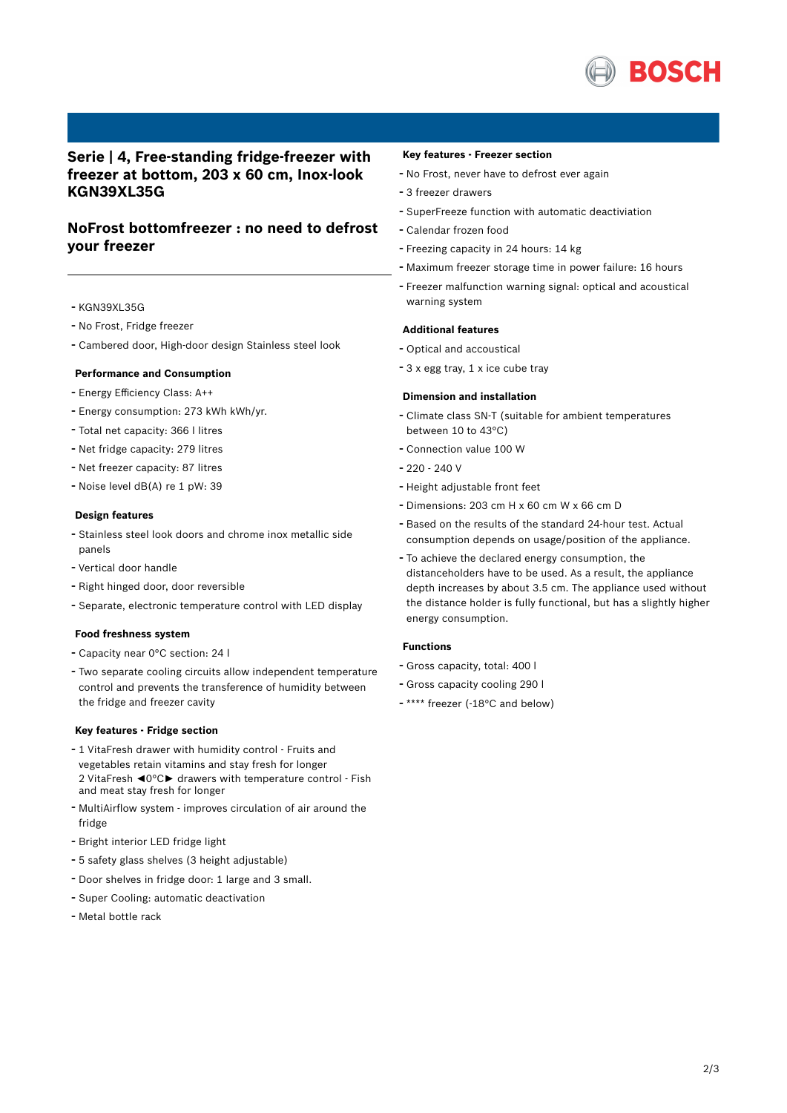

# **Serie | 4, Free-standing fridge-freezer with freezer at bottom, 203 x 60 cm, Inox-look KGN39XL35G**

# **NoFrost bottomfreezer : no need to defrost your freezer**

- KGN39XL35G
- No Frost, Fridge freezer
- Cambered door, High-door design Stainless steel look

### **Performance and Consumption**

- Energy Efficiency Class: A++
- Energy consumption: <sup>273</sup> kWh kWh/yr.
- Total net capacity: <sup>366</sup> <sup>l</sup> litres
- Net fridge capacity: <sup>279</sup> litres
- Net freezer capacity: <sup>87</sup> litres
- Noise level dB(A) re <sup>1</sup> pW: <sup>39</sup>

#### **Design features**

- Stainless steel look doors and chrome inox metallic side panels
- Vertical door handle
- Right hinged door, door reversible
- Separate, electronic temperature control with LED display

#### **Food freshness system**

- Capacity near 0°C section: 24 l
- Two separate cooling circuits allow independent temperature control and prevents the transference of humidity between the fridge and freezer cavity

### **Key features - Fridge section**

- <sup>1</sup> VitaFresh drawer with humidity control Fruits and vegetables retain vitamins and stay fresh for longer 2 VitaFresh ◄0°C► drawers with temperature control - Fish and meat stay fresh for longer
- MultiAirflow system improves circulation of air around the fridge
- Bright interior LED fridge light
- <sup>5</sup> safety glass shelves (3 height adjustable)
- Door shelves in fridge door: <sup>1</sup> large and <sup>3</sup> small.
- Super Cooling: automatic deactivation
- Metal bottle rack

### **Key features - Freezer section**

- No Frost, never have to defrost ever again
- <sup>3</sup> freezer drawers
- SuperFreeze function with automatic deactiviation
- Calendar frozen food
- Freezing capacity in <sup>24</sup> hours: <sup>14</sup> kg
- Maximum freezer storage time in power failure: <sup>16</sup> hours
- Freezer malfunction warning signal: optical and acoustical warning system

### **Additional features**

- Optical and accoustical
- <sup>3</sup> <sup>x</sup> egg tray, <sup>1</sup> <sup>x</sup> ice cube tray

### **Dimension and installation**

- Climate class SN-T (suitable for ambient temperatures between 10 to 43°C)
- Connection value <sup>100</sup> <sup>W</sup>
- 220 240 V
- Height adjustable front feet
- Dimensions: 203 cm H x 60 cm W x 66 cm D
- Based on the results of the standard 24-hour test. Actual consumption depends on usage/position of the appliance.
- To achieve the declared energy consumption, the distanceholders have to be used. As a result, the appliance depth increases by about 3.5 cm. The appliance used without the distance holder is fully functional, but has a slightly higher energy consumption.

## **Functions**

- Gross capacity, total: <sup>400</sup> <sup>l</sup>
- Gross capacity cooling <sup>290</sup> <sup>l</sup>
- \*\*\*\* freezer (-18°C and below)